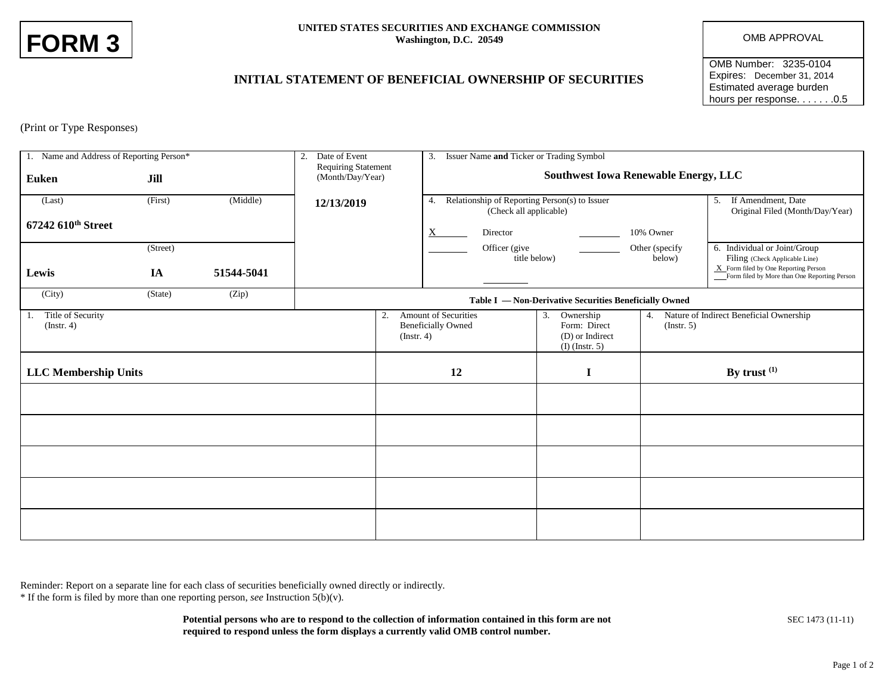| <b>FORM 3</b> |  |
|---------------|--|
|---------------|--|

## **UNITED STATES SECURITIES AND EXCHANGE COMMISSION** Washington, D.C. 20549 **OMB APPROVAL**

OMB Number: 3235-0104 Expires: December 31, 2014 Estimated average burden hours per response. . . . . . . 0.5

## **INITIAL STATEMENT OF BENEFICIAL OWNERSHIP OF SECURITIES**

(Print or Type Responses)

| 1. Name and Address of Reporting Person*<br>2. |          |            | Date of Event                                          |                        | 3. Issuer Name and Ticker or Trading Symbol                                                                                                               |              |                          |                                                                                      |  |
|------------------------------------------------|----------|------------|--------------------------------------------------------|------------------------|-----------------------------------------------------------------------------------------------------------------------------------------------------------|--------------|--------------------------|--------------------------------------------------------------------------------------|--|
| <b>Euken</b>                                   | Jill     |            | <b>Requiring Statement</b><br>(Month/Day/Year)         |                        | <b>Southwest Iowa Renewable Energy, LLC</b>                                                                                                               |              |                          |                                                                                      |  |
| (Last)                                         | (First)  | (Middle)   | 12/13/2019                                             |                        | 4. Relationship of Reporting Person(s) to Issuer<br>(Check all applicable)                                                                                |              |                          | 5. If Amendment, Date<br>Original Filed (Month/Day/Year)                             |  |
| 67242 610th Street                             |          |            |                                                        |                        | Director<br>X                                                                                                                                             |              | 10% Owner                |                                                                                      |  |
|                                                | (Street) |            |                                                        |                        | Officer (give                                                                                                                                             | title below) | Other (specify<br>below) | 6. Individual or Joint/Group<br>Filing (Check Applicable Line)                       |  |
| Lewis                                          | IA       | 51544-5041 |                                                        |                        |                                                                                                                                                           |              |                          | X Form filed by One Reporting Person<br>Form filed by More than One Reporting Person |  |
| (City)                                         | (State)  | (Zip)      | Table I — Non-Derivative Securities Beneficially Owned |                        |                                                                                                                                                           |              |                          |                                                                                      |  |
| Title of Security<br>1.<br>$($ Instr. 4 $)$    |          |            |                                                        | 2.<br>$($ Instr. 4 $)$ | <b>Amount of Securities</b><br>3. Ownership<br>4.<br><b>Beneficially Owned</b><br>Form: Direct<br>$($ Instr. 5 $)$<br>(D) or Indirect<br>$(I)$ (Instr. 5) |              |                          | Nature of Indirect Beneficial Ownership                                              |  |
| <b>LLC Membership Units</b>                    |          |            |                                                        | 12                     |                                                                                                                                                           | I            | By trust $(1)$           |                                                                                      |  |
|                                                |          |            |                                                        |                        |                                                                                                                                                           |              |                          |                                                                                      |  |
|                                                |          |            |                                                        |                        |                                                                                                                                                           |              |                          |                                                                                      |  |
|                                                |          |            |                                                        |                        |                                                                                                                                                           |              |                          |                                                                                      |  |
|                                                |          |            |                                                        |                        |                                                                                                                                                           |              |                          |                                                                                      |  |
|                                                |          |            |                                                        |                        |                                                                                                                                                           |              |                          |                                                                                      |  |

Reminder: Report on a separate line for each class of securities beneficially owned directly or indirectly.

\* If the form is filed by more than one reporting person, *see* Instruction 5(b)(v).

**Potential persons who are to respond to the collection of information contained in this form are not** SEC 1473 (11-11) **required to respond unless the form displays a currently valid OMB control number.**